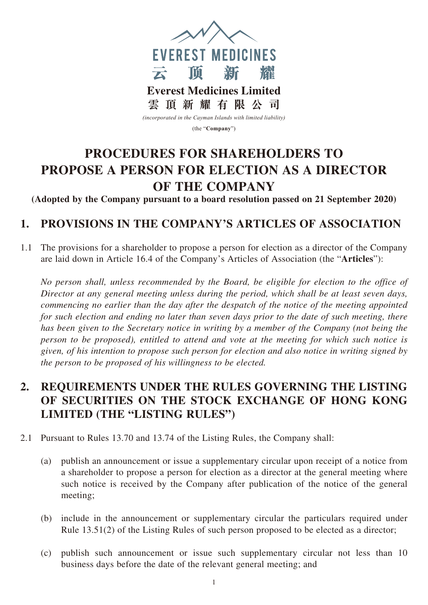

(the "**Company**")

# **PROCEDURES FOR SHAREHOLDERS TO PROPOSE A PERSON FOR ELECTION AS A DIRECTOR OF THE COMPANY**

**(Adopted by the Company pursuant to a board resolution passed on 21 September 2020)**

## **1. PROVISIONS IN THE COMPANY'S ARTICLES OF ASSOCIATION**

1.1 The provisions for a shareholder to propose a person for election as a director of the Company are laid down in Article 16.4 of the Company's Articles of Association (the "**Articles**"):

*No person shall, unless recommended by the Board, be eligible for election to the office of Director at any general meeting unless during the period, which shall be at least seven days, commencing no earlier than the day after the despatch of the notice of the meeting appointed for such election and ending no later than seven days prior to the date of such meeting, there has been given to the Secretary notice in writing by a member of the Company (not being the person to be proposed), entitled to attend and vote at the meeting for which such notice is given, of his intention to propose such person for election and also notice in writing signed by the person to be proposed of his willingness to be elected.*

## **2. REQUIREMENTS UNDER THE RULES GOVERNING THE LISTING OF SECURITIES ON THE STOCK EXCHANGE OF HONG KONG LIMITED (THE "LISTING RULES")**

- 2.1 Pursuant to Rules 13.70 and 13.74 of the Listing Rules, the Company shall:
	- (a) publish an announcement or issue a supplementary circular upon receipt of a notice from a shareholder to propose a person for election as a director at the general meeting where such notice is received by the Company after publication of the notice of the general meeting;
	- (b) include in the announcement or supplementary circular the particulars required under Rule 13.51(2) of the Listing Rules of such person proposed to be elected as a director;
	- (c) publish such announcement or issue such supplementary circular not less than 10 business days before the date of the relevant general meeting; and